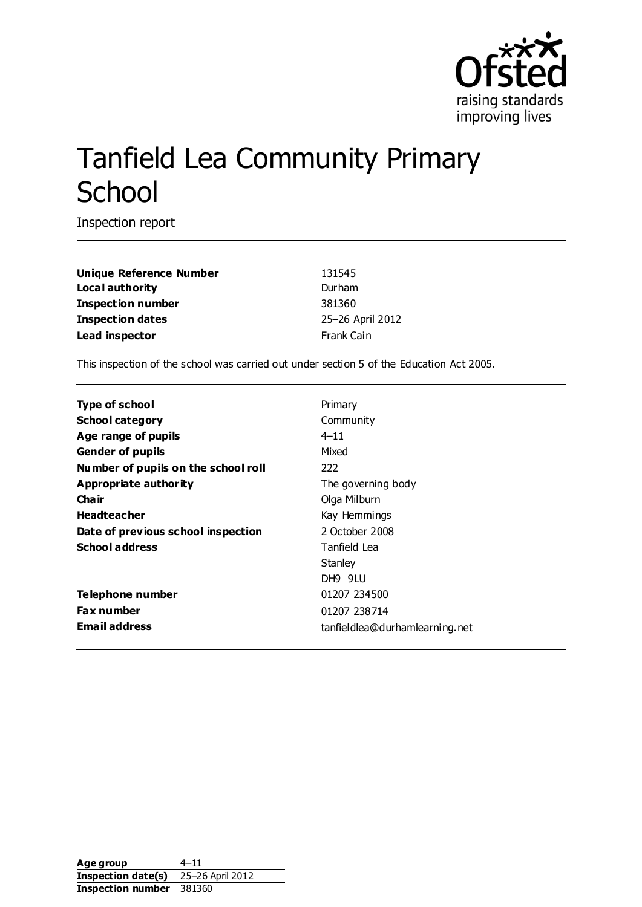

# Tanfield Lea Community Primary **School**

Inspection report

Unique Reference Number<br>
131545 **Local authority** Durham **Inspection number** 381360 **Inspection dates** 25–26 April 2012 **Lead inspector** Frank Cain

This inspection of the school was carried out under section 5 of the Education Act 2005.

| <b>Type of school</b>               | Primary                        |
|-------------------------------------|--------------------------------|
| <b>School category</b>              | Community                      |
| Age range of pupils                 | 4–11                           |
| <b>Gender of pupils</b>             | Mixed                          |
| Number of pupils on the school roll | 222                            |
| Appropriate authority               | The governing body             |
| Cha ir                              | Olga Milburn                   |
| <b>Headteacher</b>                  | Kay Hemmings                   |
| Date of previous school inspection  | 2 October 2008                 |
| <b>School address</b>               | Tanfield Lea                   |
|                                     | Stanley                        |
|                                     | DH9 9LU                        |
| Telephone number                    | 01207 234500                   |
| <b>Fax number</b>                   | 01207 238714                   |
| <b>Email address</b>                | tanfieldlea@durhamlearning.net |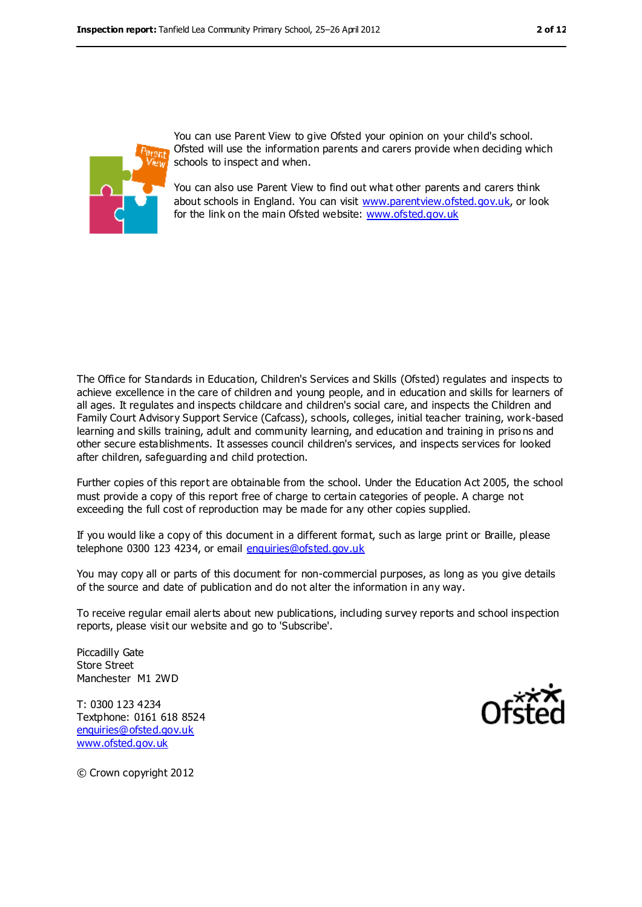

You can use Parent View to give Ofsted your opinion on your child's school. Ofsted will use the information parents and carers provide when deciding which schools to inspect and when.

You can also use Parent View to find out what other parents and carers think about schools in England. You can visit [www.parentview.ofsted.gov.uk,](file:///C:/Users/knixon/AppData/Downloads/www.parentview.ofsted.gov.uk) or look for the link on the main Ofsted website: [www.ofsted.gov.uk](file:///C:/Users/knixon/AppData/Downloads/www.ofsted.gov.uk)

The Office for Standards in Education, Children's Services and Skills (Ofsted) regulates and inspects to achieve excellence in the care of children and young people, and in education and skills for learners of all ages. It regulates and inspects childcare and children's social care, and inspects the Children and Family Court Advisory Support Service (Cafcass), schools, colleges, initial teacher training, work-based learning and skills training, adult and community learning, and education and training in priso ns and other secure establishments. It assesses council children's services, and inspects services for looked after children, safeguarding and child protection.

Further copies of this report are obtainable from the school. Under the Education Act 2005, the school must provide a copy of this report free of charge to certain categories of people. A charge not exceeding the full cost of reproduction may be made for any other copies supplied.

If you would like a copy of this document in a different format, such as large print or Braille, please telephone 0300 123 4234, or email [enquiries@ofsted.gov.uk](mailto:enquiries@ofsted.gov.uk)

You may copy all or parts of this document for non-commercial purposes, as long as you give details of the source and date of publication and do not alter the information in any way.

To receive regular email alerts about new publications, including survey reports and school inspection reports, please visit our website and go to 'Subscribe'.

Piccadilly Gate Store Street Manchester M1 2WD

T: 0300 123 4234 Textphone: 0161 618 8524 [enquiries@ofsted.gov.uk](mailto:enquiries@ofsted.gov.uk) [www.ofsted.gov.uk](http://www.ofsted.gov.uk)



© Crown copyright 2012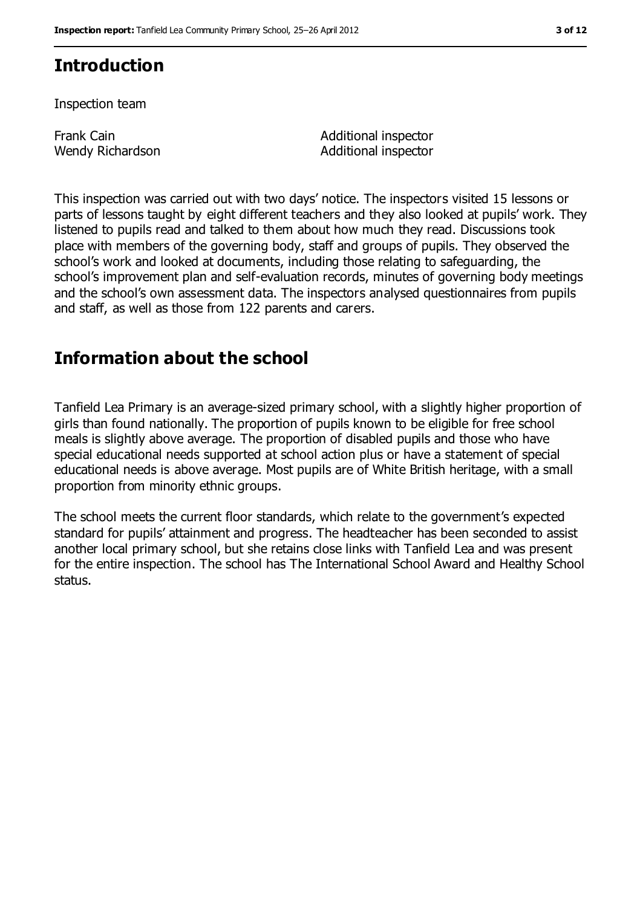# **Introduction**

Inspection team

Frank Cain Wendy Richardson Additional inspector Additional inspector

This inspection was carried out with two days' notice. The inspectors visited 15 lessons or parts of lessons taught by eight different teachers and they also looked at pupils' work. They listened to pupils read and talked to them about how much they read. Discussions took place with members of the governing body, staff and groups of pupils. They observed the school's work and looked at documents, including those relating to safeguarding, the school's improvement plan and self-evaluation records, minutes of governing body meetings and the school's own assessment data. The inspectors analysed questionnaires from pupils and staff, as well as those from 122 parents and carers.

## **Information about the school**

Tanfield Lea Primary is an average-sized primary school, with a slightly higher proportion of girls than found nationally. The proportion of pupils known to be eligible for free school meals is slightly above average. The proportion of disabled pupils and those who have special educational needs supported at school action plus or have a statement of special educational needs is above average. Most pupils are of White British heritage, with a small proportion from minority ethnic groups.

The school meets the current floor standards, which relate to the government's expected standard for pupils' attainment and progress. The headteacher has been seconded to assist another local primary school, but she retains close links with Tanfield Lea and was present for the entire inspection. The school has The International School Award and Healthy School status.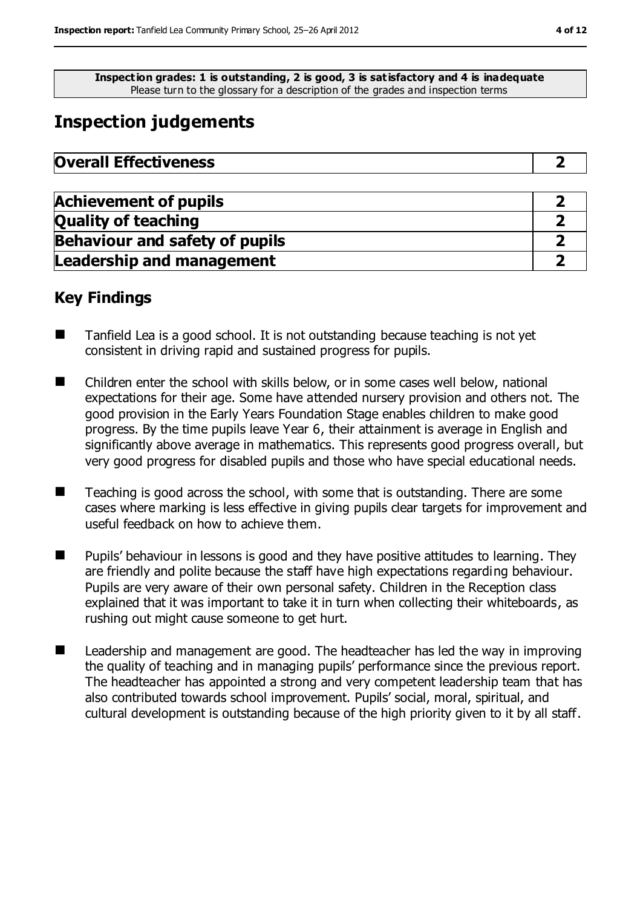**Inspection grades: 1 is outstanding, 2 is good, 3 is satisfactory and 4 is inadequate** Please turn to the glossary for a description of the grades and inspection terms

# **Inspection judgements**

| <b>Overall Effectiveness</b> |  |
|------------------------------|--|
|------------------------------|--|

| <b>Achievement of pupils</b>          |  |
|---------------------------------------|--|
| <b>Quality of teaching</b>            |  |
| <b>Behaviour and safety of pupils</b> |  |
| <b>Leadership and management</b>      |  |

## **Key Findings**

- Tanfield Lea is a good school. It is not outstanding because teaching is not yet consistent in driving rapid and sustained progress for pupils.
- Children enter the school with skills below, or in some cases well below, national expectations for their age. Some have attended nursery provision and others not. The good provision in the Early Years Foundation Stage enables children to make good progress. By the time pupils leave Year 6, their attainment is average in English and significantly above average in mathematics. This represents good progress overall, but very good progress for disabled pupils and those who have special educational needs.
- $\blacksquare$  Teaching is good across the school, with some that is outstanding. There are some cases where marking is less effective in giving pupils clear targets for improvement and useful feedback on how to achieve them.
- **Pupils'** behaviour in lessons is good and they have positive attitudes to learning. They are friendly and polite because the staff have high expectations regarding behaviour. Pupils are very aware of their own personal safety. Children in the Reception class explained that it was important to take it in turn when collecting their whiteboards, as rushing out might cause someone to get hurt.
- Leadership and management are good. The headteacher has led the way in improving the quality of teaching and in managing pupils' performance since the previous report. The headteacher has appointed a strong and very competent leadership team that has also contributed towards school improvement. Pupils' social, moral, spiritual, and cultural development is outstanding because of the high priority given to it by all staff.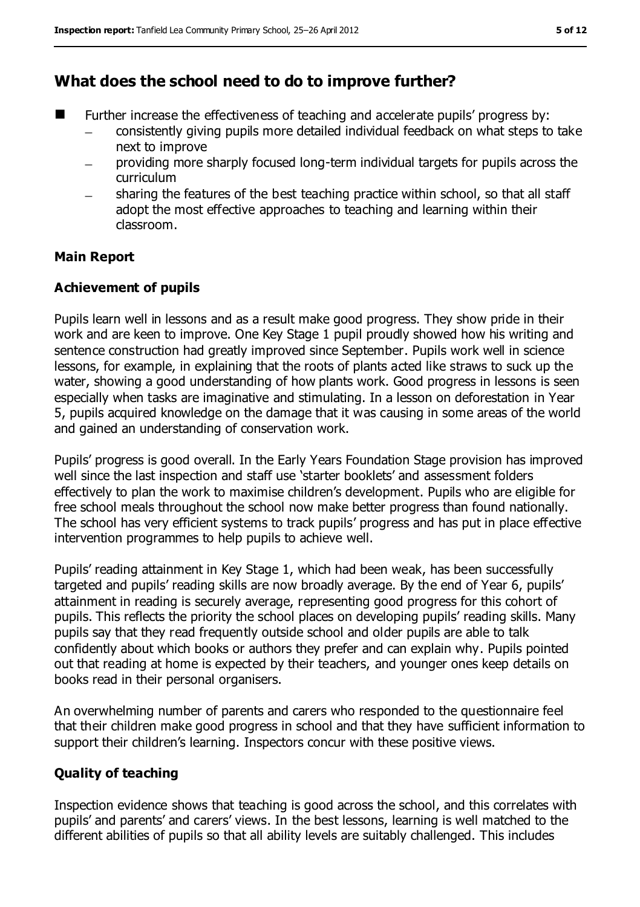## **What does the school need to do to improve further?**

- Further increase the effectiveness of teaching and accelerate pupils' progress by:
	- consistently giving pupils more detailed individual feedback on what steps to take next to improve
	- providing more sharply focused long-term individual targets for pupils across the curriculum
	- sharing the features of the best teaching practice within school, so that all staff  $\equiv$ adopt the most effective approaches to teaching and learning within their classroom.

#### **Main Report**

#### **Achievement of pupils**

Pupils learn well in lessons and as a result make good progress. They show pride in their work and are keen to improve. One Key Stage 1 pupil proudly showed how his writing and sentence construction had greatly improved since September. Pupils work well in science lessons, for example, in explaining that the roots of plants acted like straws to suck up the water, showing a good understanding of how plants work. Good progress in lessons is seen especially when tasks are imaginative and stimulating. In a lesson on deforestation in Year 5, pupils acquired knowledge on the damage that it was causing in some areas of the world and gained an understanding of conservation work.

Pupils' progress is good overall. In the Early Years Foundation Stage provision has improved well since the last inspection and staff use 'starter booklets' and assessment folders effectively to plan the work to maximise children's development. Pupils who are eligible for free school meals throughout the school now make better progress than found nationally. The school has very efficient systems to track pupils' progress and has put in place effective intervention programmes to help pupils to achieve well.

Pupils' reading attainment in Key Stage 1, which had been weak, has been successfully targeted and pupils' reading skills are now broadly average. By the end of Year 6, pupils' attainment in reading is securely average, representing good progress for this cohort of pupils. This reflects the priority the school places on developing pupils' reading skills. Many pupils say that they read frequently outside school and older pupils are able to talk confidently about which books or authors they prefer and can explain why. Pupils pointed out that reading at home is expected by their teachers, and younger ones keep details on books read in their personal organisers.

An overwhelming number of parents and carers who responded to the questionnaire feel that their children make good progress in school and that they have sufficient information to support their children's learning. Inspectors concur with these positive views.

#### **Quality of teaching**

Inspection evidence shows that teaching is good across the school, and this correlates with pupils' and parents' and carers' views. In the best lessons, learning is well matched to the different abilities of pupils so that all ability levels are suitably challenged. This includes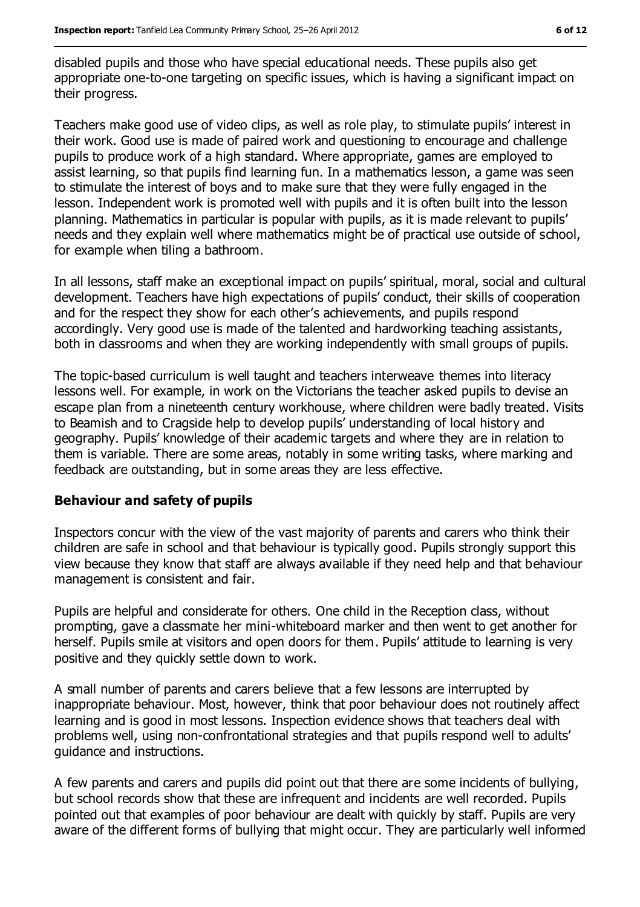disabled pupils and those who have special educational needs. These pupils also get appropriate one-to-one targeting on specific issues, which is having a significant impact on their progress.

Teachers make good use of video clips, as well as role play, to stimulate pupils' interest in their work. Good use is made of paired work and questioning to encourage and challenge pupils to produce work of a high standard. Where appropriate, games are employed to assist learning, so that pupils find learning fun. In a mathematics lesson, a game was seen to stimulate the interest of boys and to make sure that they were fully engaged in the lesson. Independent work is promoted well with pupils and it is often built into the lesson planning. Mathematics in particular is popular with pupils, as it is made relevant to pupils' needs and they explain well where mathematics might be of practical use outside of school, for example when tiling a bathroom.

In all lessons, staff make an exceptional impact on pupils' spiritual, moral, social and cultural development. Teachers have high expectations of pupils' conduct, their skills of cooperation and for the respect they show for each other's achievements, and pupils respond accordingly. Very good use is made of the talented and hardworking teaching assistants, both in classrooms and when they are working independently with small groups of pupils.

The topic-based curriculum is well taught and teachers interweave themes into literacy lessons well. For example, in work on the Victorians the teacher asked pupils to devise an escape plan from a nineteenth century workhouse, where children were badly treated. Visits to Beamish and to Cragside help to develop pupils' understanding of local history and geography. Pupils' knowledge of their academic targets and where they are in relation to them is variable. There are some areas, notably in some writing tasks, where marking and feedback are outstanding, but in some areas they are less effective.

#### **Behaviour and safety of pupils**

Inspectors concur with the view of the vast majority of parents and carers who think their children are safe in school and that behaviour is typically good. Pupils strongly support this view because they know that staff are always available if they need help and that behaviour management is consistent and fair.

Pupils are helpful and considerate for others. One child in the Reception class, without prompting, gave a classmate her mini-whiteboard marker and then went to get another for herself. Pupils smile at visitors and open doors for them. Pupils' attitude to learning is very positive and they quickly settle down to work.

A small number of parents and carers believe that a few lessons are interrupted by inappropriate behaviour. Most, however, think that poor behaviour does not routinely affect learning and is good in most lessons. Inspection evidence shows that teachers deal with problems well, using non-confrontational strategies and that pupils respond well to adults' guidance and instructions.

A few parents and carers and pupils did point out that there are some incidents of bullying, but school records show that these are infrequent and incidents are well recorded. Pupils pointed out that examples of poor behaviour are dealt with quickly by staff. Pupils are very aware of the different forms of bullying that might occur. They are particularly well informed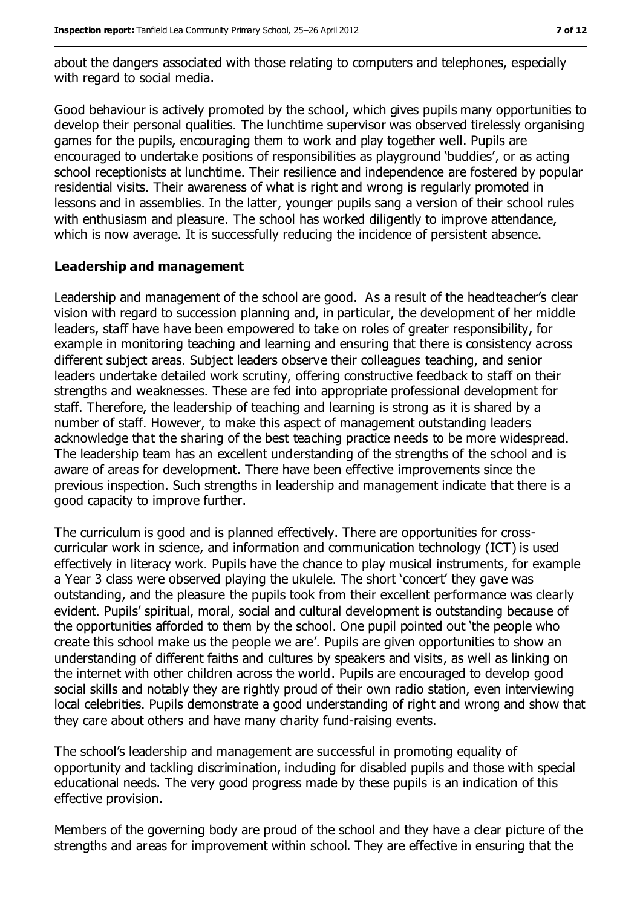about the dangers associated with those relating to computers and telephones, especially with regard to social media.

Good behaviour is actively promoted by the school, which gives pupils many opportunities to develop their personal qualities. The lunchtime supervisor was observed tirelessly organising games for the pupils, encouraging them to work and play together well. Pupils are encouraged to undertake positions of responsibilities as playground 'buddies', or as acting school receptionists at lunchtime. Their resilience and independence are fostered by popular residential visits. Their awareness of what is right and wrong is regularly promoted in lessons and in assemblies. In the latter, younger pupils sang a version of their school rules with enthusiasm and pleasure. The school has worked diligently to improve attendance, which is now average. It is successfully reducing the incidence of persistent absence.

#### **Leadership and management**

Leadership and management of the school are good. As a result of the headteacher's clear vision with regard to succession planning and, in particular, the development of her middle leaders, staff have have been empowered to take on roles of greater responsibility, for example in monitoring teaching and learning and ensuring that there is consistency across different subject areas. Subject leaders observe their colleagues teaching, and senior leaders undertake detailed work scrutiny, offering constructive feedback to staff on their strengths and weaknesses. These are fed into appropriate professional development for staff. Therefore, the leadership of teaching and learning is strong as it is shared by a number of staff. However, to make this aspect of management outstanding leaders acknowledge that the sharing of the best teaching practice needs to be more widespread. The leadership team has an excellent understanding of the strengths of the school and is aware of areas for development. There have been effective improvements since the previous inspection. Such strengths in leadership and management indicate that there is a good capacity to improve further.

The curriculum is good and is planned effectively. There are opportunities for crosscurricular work in science, and information and communication technology (ICT) is used effectively in literacy work. Pupils have the chance to play musical instruments, for example a Year 3 class were observed playing the ukulele. The short 'concert' they gave was outstanding, and the pleasure the pupils took from their excellent performance was clearly evident. Pupils' spiritual, moral, social and cultural development is outstanding because of the opportunities afforded to them by the school. One pupil pointed out 'the people who create this school make us the people we are'. Pupils are given opportunities to show an understanding of different faiths and cultures by speakers and visits, as well as linking on the internet with other children across the world. Pupils are encouraged to develop good social skills and notably they are rightly proud of their own radio station, even interviewing local celebrities. Pupils demonstrate a good understanding of right and wrong and show that they care about others and have many charity fund-raising events.

The school's leadership and management are successful in promoting equality of opportunity and tackling discrimination, including for disabled pupils and those with special educational needs. The very good progress made by these pupils is an indication of this effective provision.

Members of the governing body are proud of the school and they have a clear picture of the strengths and areas for improvement within school. They are effective in ensuring that the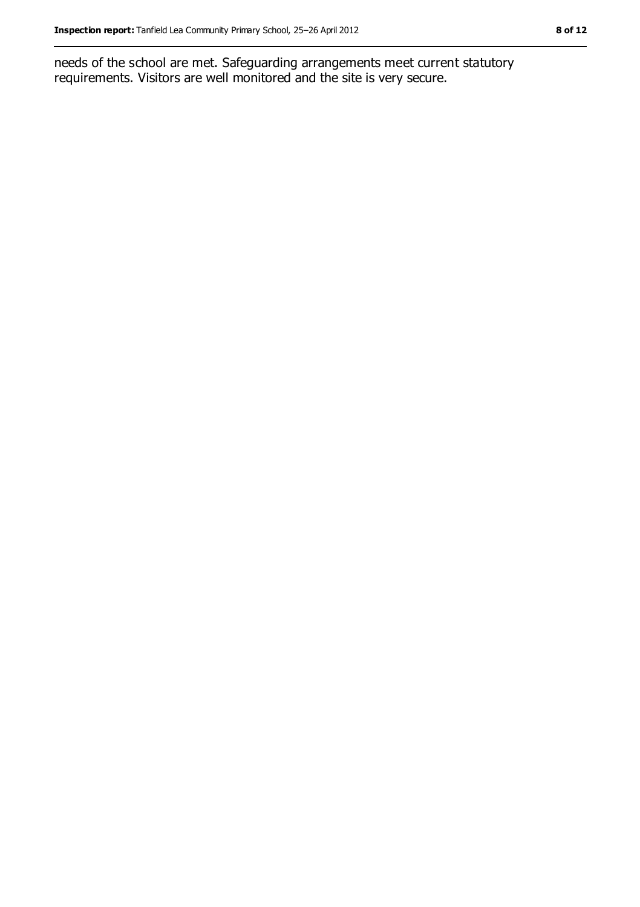needs of the school are met. Safeguarding arrangements meet current statutory requirements. Visitors are well monitored and the site is very secure.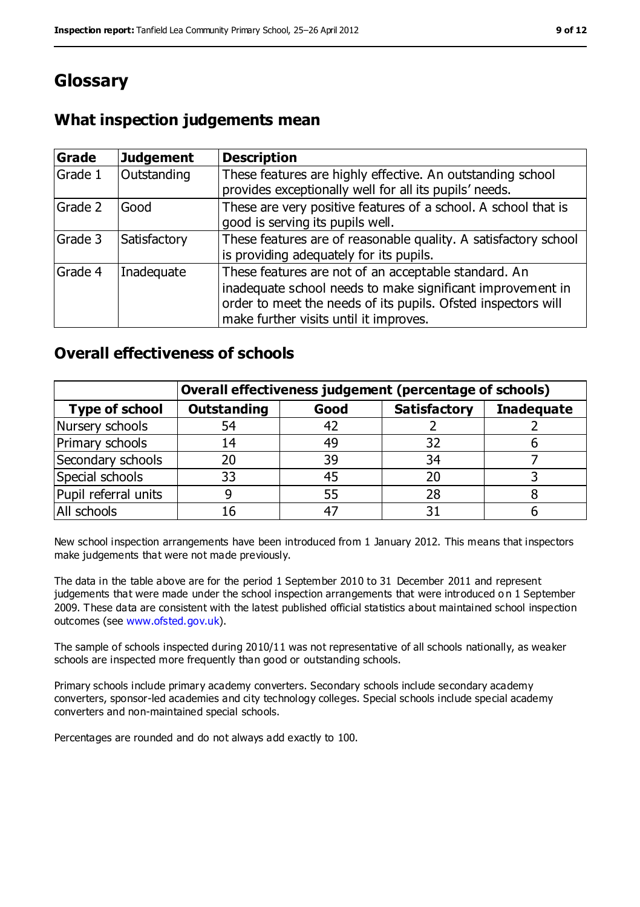# **Glossary**

## **What inspection judgements mean**

| <b>Grade</b> | <b>Judgement</b> | <b>Description</b>                                                                                                                                                                                                            |
|--------------|------------------|-------------------------------------------------------------------------------------------------------------------------------------------------------------------------------------------------------------------------------|
| Grade 1      | Outstanding      | These features are highly effective. An outstanding school<br>provides exceptionally well for all its pupils' needs.                                                                                                          |
| Grade 2      | Good             | These are very positive features of a school. A school that is<br>good is serving its pupils well.                                                                                                                            |
| Grade 3      | Satisfactory     | These features are of reasonable quality. A satisfactory school<br>is providing adequately for its pupils.                                                                                                                    |
| Grade 4      | Inadequate       | These features are not of an acceptable standard. An<br>inadequate school needs to make significant improvement in<br>order to meet the needs of its pupils. Ofsted inspectors will<br>make further visits until it improves. |

### **Overall effectiveness of schools**

|                       | Overall effectiveness judgement (percentage of schools) |      |                     |                   |
|-----------------------|---------------------------------------------------------|------|---------------------|-------------------|
| <b>Type of school</b> | <b>Outstanding</b>                                      | Good | <b>Satisfactory</b> | <b>Inadequate</b> |
| Nursery schools       | 54                                                      | 42   |                     |                   |
| Primary schools       | 14                                                      | 49   | 32                  |                   |
| Secondary schools     | 20                                                      | 39   | 34                  |                   |
| Special schools       | 33                                                      | 45   | 20                  |                   |
| Pupil referral units  |                                                         | 55   | 28                  |                   |
| All schools           | 16                                                      | $-4$ |                     |                   |

New school inspection arrangements have been introduced from 1 January 2012. This means that inspectors make judgements that were not made previously.

The data in the table above are for the period 1 September 2010 to 31 December 2011 and represent judgements that were made under the school inspection arrangements that were introduced o n 1 September 2009. These data are consistent with the latest published official statistics about maintained school inspection outcomes (see [www.ofsted.gov.uk\)](file:///C:/Users/knixon/AppData/Downloads/www.ofsted.gov.uk).

The sample of schools inspected during 2010/11 was not representative of all schools nationally, as weaker schools are inspected more frequently than good or outstanding schools.

Primary schools include primary academy converters. Secondary schools include secondary academy converters, sponsor-led academies and city technology colleges. Special schools include special academy converters and non-maintained special schools.

Percentages are rounded and do not always add exactly to 100.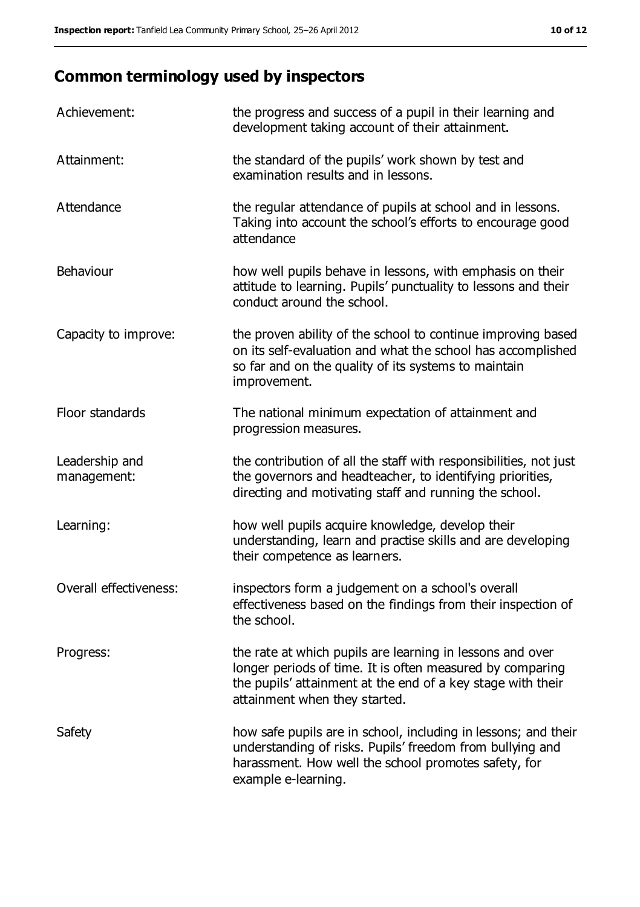# **Common terminology used by inspectors**

| Achievement:                  | the progress and success of a pupil in their learning and<br>development taking account of their attainment.                                                                                                           |
|-------------------------------|------------------------------------------------------------------------------------------------------------------------------------------------------------------------------------------------------------------------|
| Attainment:                   | the standard of the pupils' work shown by test and<br>examination results and in lessons.                                                                                                                              |
| Attendance                    | the regular attendance of pupils at school and in lessons.<br>Taking into account the school's efforts to encourage good<br>attendance                                                                                 |
| Behaviour                     | how well pupils behave in lessons, with emphasis on their<br>attitude to learning. Pupils' punctuality to lessons and their<br>conduct around the school.                                                              |
| Capacity to improve:          | the proven ability of the school to continue improving based<br>on its self-evaluation and what the school has accomplished<br>so far and on the quality of its systems to maintain<br>improvement.                    |
| Floor standards               | The national minimum expectation of attainment and<br>progression measures.                                                                                                                                            |
| Leadership and<br>management: | the contribution of all the staff with responsibilities, not just<br>the governors and headteacher, to identifying priorities,<br>directing and motivating staff and running the school.                               |
| Learning:                     | how well pupils acquire knowledge, develop their<br>understanding, learn and practise skills and are developing<br>their competence as learners.                                                                       |
| Overall effectiveness:        | inspectors form a judgement on a school's overall<br>effectiveness based on the findings from their inspection of<br>the school.                                                                                       |
| Progress:                     | the rate at which pupils are learning in lessons and over<br>longer periods of time. It is often measured by comparing<br>the pupils' attainment at the end of a key stage with their<br>attainment when they started. |
| Safety                        | how safe pupils are in school, including in lessons; and their<br>understanding of risks. Pupils' freedom from bullying and<br>harassment. How well the school promotes safety, for<br>example e-learning.             |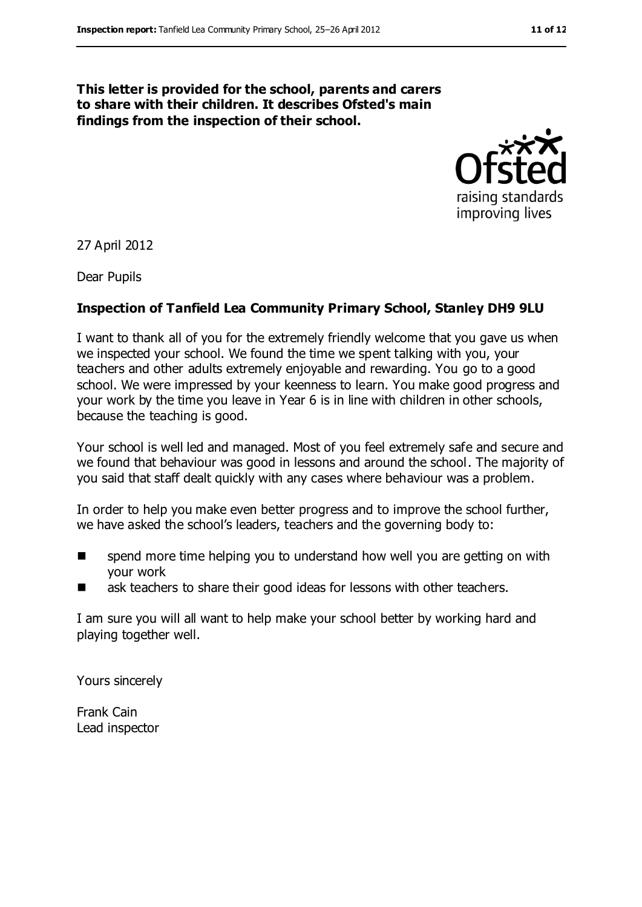#### **This letter is provided for the school, parents and carers to share with their children. It describes Ofsted's main findings from the inspection of their school.**



27 April 2012

Dear Pupils

#### **Inspection of Tanfield Lea Community Primary School, Stanley DH9 9LU**

I want to thank all of you for the extremely friendly welcome that you gave us when we inspected your school. We found the time we spent talking with you, your teachers and other adults extremely enjoyable and rewarding. You go to a good school. We were impressed by your keenness to learn. You make good progress and your work by the time you leave in Year 6 is in line with children in other schools, because the teaching is good.

Your school is well led and managed. Most of you feel extremely safe and secure and we found that behaviour was good in lessons and around the school. The majority of you said that staff dealt quickly with any cases where behaviour was a problem.

In order to help you make even better progress and to improve the school further, we have asked the school's leaders, teachers and the governing body to:

- **EXTERN** Spend more time helping you to understand how well you are getting on with your work
- ask teachers to share their good ideas for lessons with other teachers.

I am sure you will all want to help make your school better by working hard and playing together well.

Yours sincerely

Frank Cain Lead inspector